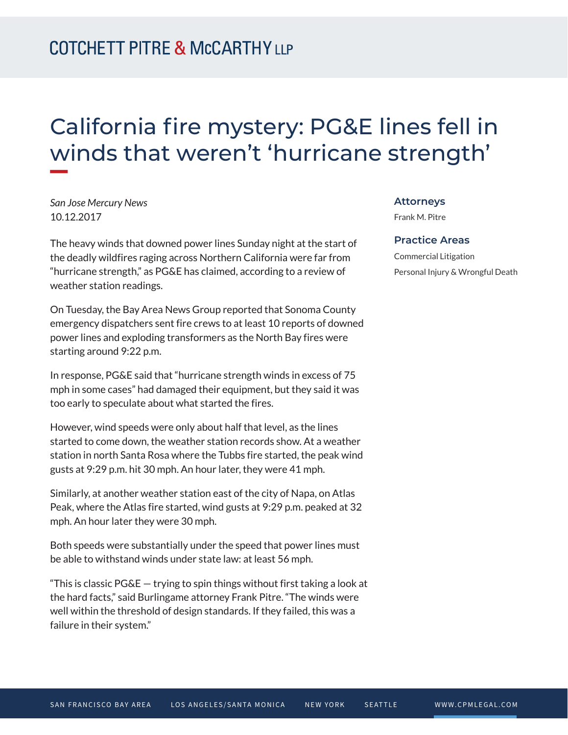### California fire mystery: PG&E lines fell in winds that weren't 'hurricane strength' **William**

*San Jose Mercury News* 10.12.2017

The heavy winds that downed power lines Sunday night at the start of the deadly wildfires raging across Northern California were far from "hurricane strength," as PG&E has claimed, according to a review of weather station readings.

On Tuesday, the Bay Area News Group reported that Sonoma County emergency dispatchers sent fire crews to at least 10 reports of downed power lines and exploding transformers as the North Bay fires were starting around 9:22 p.m.

In response, PG&E said that "hurricane strength winds in excess of 75 mph in some cases" had damaged their equipment, but they said it was too early to speculate about what started the fires.

However, wind speeds were only about half that level, as the lines started to come down, the weather station records show. At a weather station in north Santa Rosa where the Tubbs fire started, the peak wind gusts at 9:29 p.m. hit 30 mph. An hour later, they were 41 mph.

Similarly, at another weather station east of the city of Napa, on Atlas Peak, where the Atlas fire started, wind gusts at 9:29 p.m. peaked at 32 mph. An hour later they were 30 mph.

Both speeds were substantially under the speed that power lines must be able to withstand winds under state law: at least 56 mph.

"This is classic  $PG\&E - trying$  to spin things without first taking a look at the hard facts," said Burlingame attorney Frank Pitre. "The winds were well within the threshold of design standards. If they failed, this was a failure in their system."

#### **Attorneys**

Frank M. Pitre

### **Practice Areas**

Commercial Litigation Personal Injury & Wrongful Death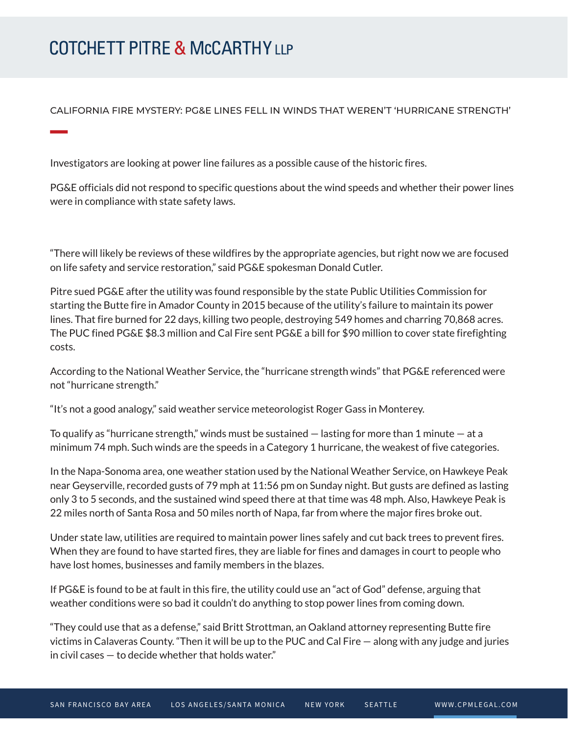# **COTCHETT PITRE & McCARTHY LLP**

CALIFORNIA FIRE MYSTERY: PG&E LINES FELL IN WINDS THAT WEREN'T 'HURRICANE STRENGTH'

Investigators are looking at power line failures as a possible cause of the historic fires.

PG&E officials did not respond to specific questions about the wind speeds and whether their power lines were in compliance with state safety laws.

"There will likely be reviews of these wildfires by the appropriate agencies, but right now we are focused on life safety and service restoration," said PG&E spokesman Donald Cutler.

Pitre sued PG&E after the utility was found responsible by the state Public Utilities Commission for starting the Butte fire in Amador County in 2015 because of the utility's failure to maintain its power lines. That fire burned for 22 days, killing two people, destroying 549 homes and charring 70,868 acres. The PUC fined PG&E \$8.3 million and Cal Fire sent PG&E a bill for \$90 million to cover state firefighting costs.

According to the National Weather Service, the "hurricane strength winds" that PG&E referenced were not "hurricane strength."

"It's not a good analogy," said weather service meteorologist Roger Gass in Monterey.

To qualify as "hurricane strength," winds must be sustained — lasting for more than 1 minute — at a minimum 74 mph. Such winds are the speeds in a Category 1 hurricane, the weakest of five categories.

In the Napa-Sonoma area, one weather station used by the National Weather Service, on Hawkeye Peak near Geyserville, recorded gusts of 79 mph at 11:56 pm on Sunday night. But gusts are defined as lasting only 3 to 5 seconds, and the sustained wind speed there at that time was 48 mph. Also, Hawkeye Peak is 22 miles north of Santa Rosa and 50 miles north of Napa, far from where the major fires broke out.

Under state law, utilities are required to maintain power lines safely and cut back trees to prevent fires. When they are found to have started fires, they are liable for fines and damages in court to people who have lost homes, businesses and family members in the blazes.

If PG&E is found to be at fault in this fire, the utility could use an "act of God" defense, arguing that weather conditions were so bad it couldn't do anything to stop power lines from coming down.

"They could use that as a defense," said Britt Strottman, an Oakland attorney representing Butte fire victims in Calaveras County. "Then it will be up to the PUC and Cal Fire — along with any judge and juries in civil cases — to decide whether that holds water."